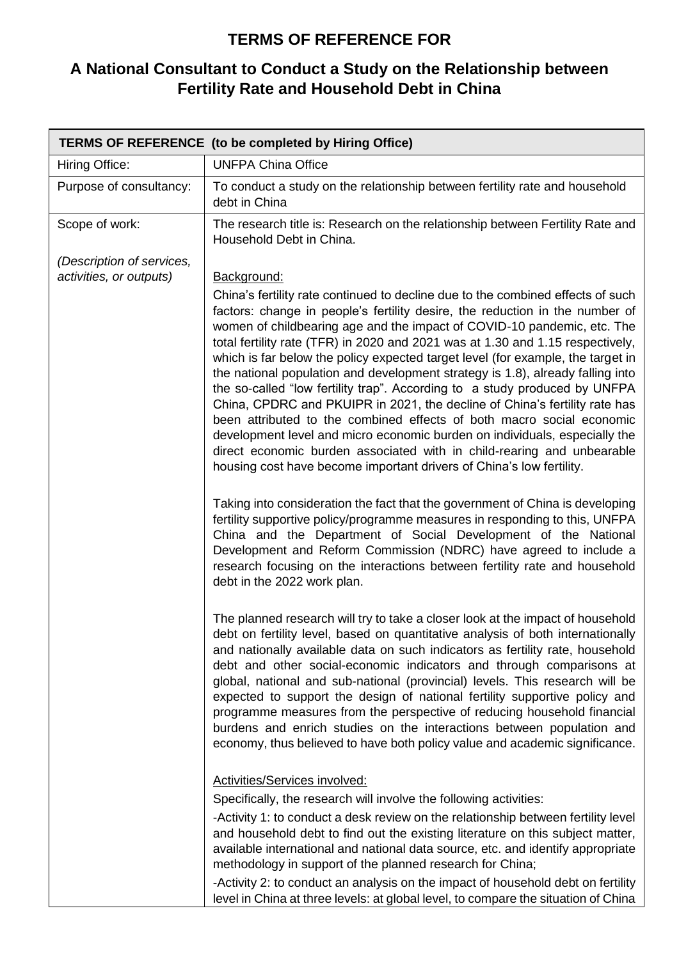## **TERMS OF REFERENCE FOR**

## **A National Consultant to Conduct a Study on the Relationship between Fertility Rate and Household Debt in China**

|                                                      | <b>TERMS OF REFERENCE</b> (to be completed by Hiring Office)                                                                                                                                                                                                                                                                                                                                                                                                                                                                                                                                                                                                                                                                                                                                                                                                                                                                                                                                                                                                                                                                                                                                                                                                                                                                                                                                              |
|------------------------------------------------------|-----------------------------------------------------------------------------------------------------------------------------------------------------------------------------------------------------------------------------------------------------------------------------------------------------------------------------------------------------------------------------------------------------------------------------------------------------------------------------------------------------------------------------------------------------------------------------------------------------------------------------------------------------------------------------------------------------------------------------------------------------------------------------------------------------------------------------------------------------------------------------------------------------------------------------------------------------------------------------------------------------------------------------------------------------------------------------------------------------------------------------------------------------------------------------------------------------------------------------------------------------------------------------------------------------------------------------------------------------------------------------------------------------------|
| Hiring Office:                                       | <b>UNFPA China Office</b>                                                                                                                                                                                                                                                                                                                                                                                                                                                                                                                                                                                                                                                                                                                                                                                                                                                                                                                                                                                                                                                                                                                                                                                                                                                                                                                                                                                 |
| Purpose of consultancy:                              | To conduct a study on the relationship between fertility rate and household<br>debt in China                                                                                                                                                                                                                                                                                                                                                                                                                                                                                                                                                                                                                                                                                                                                                                                                                                                                                                                                                                                                                                                                                                                                                                                                                                                                                                              |
| Scope of work:                                       | The research title is: Research on the relationship between Fertility Rate and<br>Household Debt in China.                                                                                                                                                                                                                                                                                                                                                                                                                                                                                                                                                                                                                                                                                                                                                                                                                                                                                                                                                                                                                                                                                                                                                                                                                                                                                                |
| (Description of services,<br>activities, or outputs) | Background:<br>China's fertility rate continued to decline due to the combined effects of such<br>factors: change in people's fertility desire, the reduction in the number of<br>women of childbearing age and the impact of COVID-10 pandemic, etc. The<br>total fertility rate (TFR) in 2020 and 2021 was at 1.30 and 1.15 respectively,<br>which is far below the policy expected target level (for example, the target in<br>the national population and development strategy is 1.8), already falling into<br>the so-called "low fertility trap". According to a study produced by UNFPA<br>China, CPDRC and PKUIPR in 2021, the decline of China's fertility rate has<br>been attributed to the combined effects of both macro social economic<br>development level and micro economic burden on individuals, especially the<br>direct economic burden associated with in child-rearing and unbearable<br>housing cost have become important drivers of China's low fertility.<br>Taking into consideration the fact that the government of China is developing<br>fertility supportive policy/programme measures in responding to this, UNFPA<br>China and the Department of Social Development of the National<br>Development and Reform Commission (NDRC) have agreed to include a<br>research focusing on the interactions between fertility rate and household<br>debt in the 2022 work plan. |
|                                                      | The planned research will try to take a closer look at the impact of household<br>debt on fertility level, based on quantitative analysis of both internationally<br>and nationally available data on such indicators as fertility rate, household<br>debt and other social-economic indicators and through comparisons at<br>global, national and sub-national (provincial) levels. This research will be<br>expected to support the design of national fertility supportive policy and<br>programme measures from the perspective of reducing household financial<br>burdens and enrich studies on the interactions between population and<br>economy, thus believed to have both policy value and academic significance.<br><b>Activities/Services involved:</b><br>Specifically, the research will involve the following activities:<br>-Activity 1: to conduct a desk review on the relationship between fertility level<br>and household debt to find out the existing literature on this subject matter,<br>available international and national data source, etc. and identify appropriate<br>methodology in support of the planned research for China;<br>-Activity 2: to conduct an analysis on the impact of household debt on fertility                                                                                                                                                       |
|                                                      | level in China at three levels: at global level, to compare the situation of China                                                                                                                                                                                                                                                                                                                                                                                                                                                                                                                                                                                                                                                                                                                                                                                                                                                                                                                                                                                                                                                                                                                                                                                                                                                                                                                        |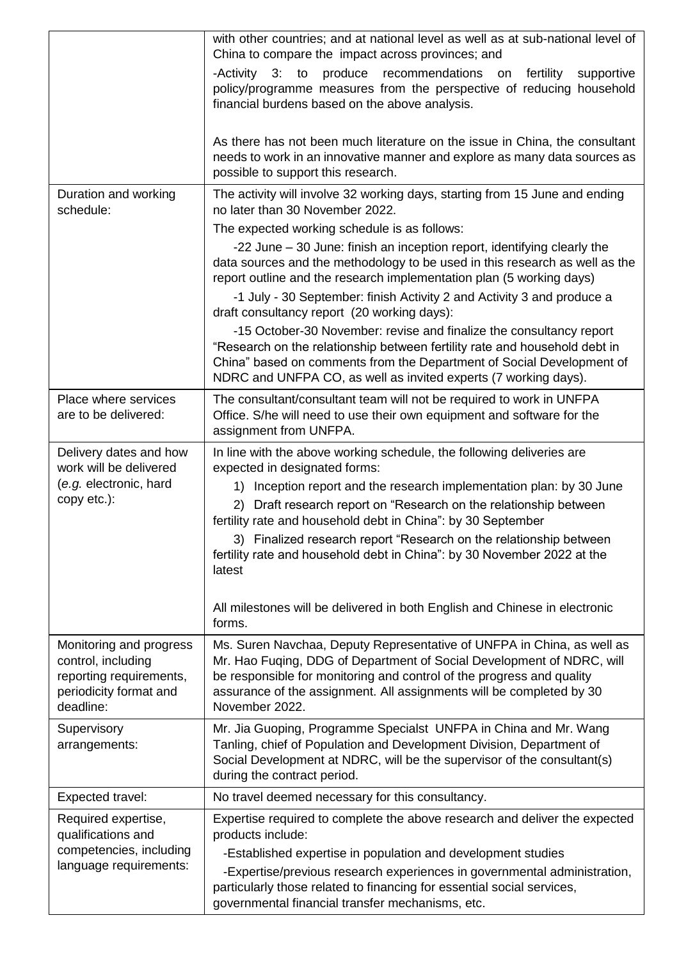|                                                                                                                 | with other countries; and at national level as well as at sub-national level of<br>China to compare the impact across provinces; and<br>-Activity 3:<br>to<br>produce<br>recommendations on<br>fertility<br>supportive<br>policy/programme measures from the perspective of reducing household<br>financial burdens based on the above analysis.<br>As there has not been much literature on the issue in China, the consultant<br>needs to work in an innovative manner and explore as many data sources as                                                    |
|-----------------------------------------------------------------------------------------------------------------|-----------------------------------------------------------------------------------------------------------------------------------------------------------------------------------------------------------------------------------------------------------------------------------------------------------------------------------------------------------------------------------------------------------------------------------------------------------------------------------------------------------------------------------------------------------------|
|                                                                                                                 | possible to support this research.                                                                                                                                                                                                                                                                                                                                                                                                                                                                                                                              |
| Duration and working<br>schedule:                                                                               | The activity will involve 32 working days, starting from 15 June and ending<br>no later than 30 November 2022.                                                                                                                                                                                                                                                                                                                                                                                                                                                  |
|                                                                                                                 | The expected working schedule is as follows:                                                                                                                                                                                                                                                                                                                                                                                                                                                                                                                    |
|                                                                                                                 | -22 June – 30 June: finish an inception report, identifying clearly the<br>data sources and the methodology to be used in this research as well as the<br>report outline and the research implementation plan (5 working days)<br>-1 July - 30 September: finish Activity 2 and Activity 3 and produce a                                                                                                                                                                                                                                                        |
|                                                                                                                 | draft consultancy report (20 working days):<br>-15 October-30 November: revise and finalize the consultancy report<br>"Research on the relationship between fertility rate and household debt in<br>China" based on comments from the Department of Social Development of<br>NDRC and UNFPA CO, as well as invited experts (7 working days).                                                                                                                                                                                                                    |
| Place where services<br>are to be delivered:                                                                    | The consultant/consultant team will not be required to work in UNFPA<br>Office. S/he will need to use their own equipment and software for the<br>assignment from UNFPA.                                                                                                                                                                                                                                                                                                                                                                                        |
| Delivery dates and how<br>work will be delivered<br>(e.g. electronic, hard<br>copy etc.):                       | In line with the above working schedule, the following deliveries are<br>expected in designated forms:<br>1) Inception report and the research implementation plan: by 30 June<br>Draft research report on "Research on the relationship between<br>2)<br>fertility rate and household debt in China": by 30 September<br>3) Finalized research report "Research on the relationship between<br>fertility rate and household debt in China": by 30 November 2022 at the<br>latest<br>All milestones will be delivered in both English and Chinese in electronic |
|                                                                                                                 | forms.                                                                                                                                                                                                                                                                                                                                                                                                                                                                                                                                                          |
| Monitoring and progress<br>control, including<br>reporting requirements,<br>periodicity format and<br>deadline: | Ms. Suren Navchaa, Deputy Representative of UNFPA in China, as well as<br>Mr. Hao Fuqing, DDG of Department of Social Development of NDRC, will<br>be responsible for monitoring and control of the progress and quality<br>assurance of the assignment. All assignments will be completed by 30<br>November 2022.                                                                                                                                                                                                                                              |
| Supervisory<br>arrangements:                                                                                    | Mr. Jia Guoping, Programme Specialst UNFPA in China and Mr. Wang<br>Tanling, chief of Population and Development Division, Department of<br>Social Development at NDRC, will be the supervisor of the consultant(s)<br>during the contract period.                                                                                                                                                                                                                                                                                                              |
| Expected travel:                                                                                                | No travel deemed necessary for this consultancy.                                                                                                                                                                                                                                                                                                                                                                                                                                                                                                                |
| Required expertise,<br>qualifications and<br>competencies, including<br>language requirements:                  | Expertise required to complete the above research and deliver the expected<br>products include:<br>-Established expertise in population and development studies<br>-Expertise/previous research experiences in governmental administration,<br>particularly those related to financing for essential social services,<br>governmental financial transfer mechanisms, etc.                                                                                                                                                                                       |